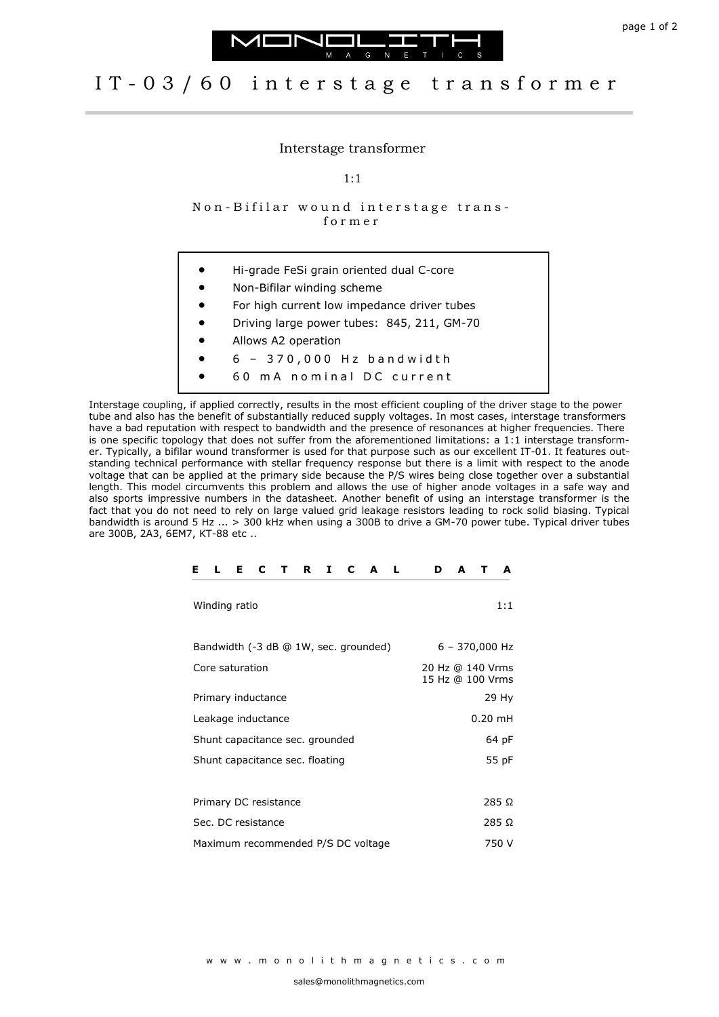



## IT-03/60 interstage transformer

## Interstage transformer

1:1

Non-Bifilar wound interstage transf o r m e r

- Hi-grade FeSi grain oriented dual C-core
- Non-Bifilar winding scheme
- For high current low impedance driver tubes
- Driving large power tubes: 845, 211, GM-70
- Allows A2 operation
- 6 3 7 0 , 0 0 0 H z b a n d w i d t h
- 60 mA nominal DC current

Interstage coupling, if applied correctly, results in the most efficient coupling of the driver stage to the power tube and also has the benefit of substantially reduced supply voltages. In most cases, interstage transformers have a bad reputation with respect to bandwidth and the presence of resonances at higher frequencies. There is one specific topology that does not suffer from the aforementioned limitations: a 1:1 interstage transformer. Typically, a bifilar wound transformer is used for that purpose such as our excellent IT-01. It features outstanding technical performance with stellar frequency response but there is a limit with respect to the anode voltage that can be applied at the primary side because the P/S wires being close together over a substantial length. This model circumvents this problem and allows the use of higher anode voltages in a safe way and also sports impressive numbers in the datasheet. Another benefit of using an interstage transformer is the fact that you do not need to rely on large valued grid leakage resistors leading to rock solid biasing. Typical bandwidth is around 5 Hz ... > 300 kHz when using a 300B to drive a GM-70 power tube. Typical driver tubes are 300B, 2A3, 6EM7, KT-88 etc ..

| F.<br>C<br>R<br>1<br>F.<br>L<br>т<br>C<br>A<br>- L | D<br>A<br>A                          |
|----------------------------------------------------|--------------------------------------|
| Winding ratio                                      | 1:1                                  |
| Bandwidth (-3 dB @ 1W, sec. grounded)              | $6 - 370,000$ Hz                     |
| Core saturation                                    | 20 Hz @ 140 Vrms<br>15 Hz @ 100 Vrms |
| Primary inductance                                 | 29 Hy                                |
| Leakage inductance                                 | $0.20$ mH                            |
| Shunt capacitance sec. grounded                    | 64 pF                                |
| Shunt capacitance sec. floating                    | 55 pF                                |
|                                                    |                                      |
| Primary DC resistance                              | $285\Omega$                          |
| Sec. DC resistance                                 | 285 Ω                                |
| Maximum recommended P/S DC voltage                 | 750 V                                |